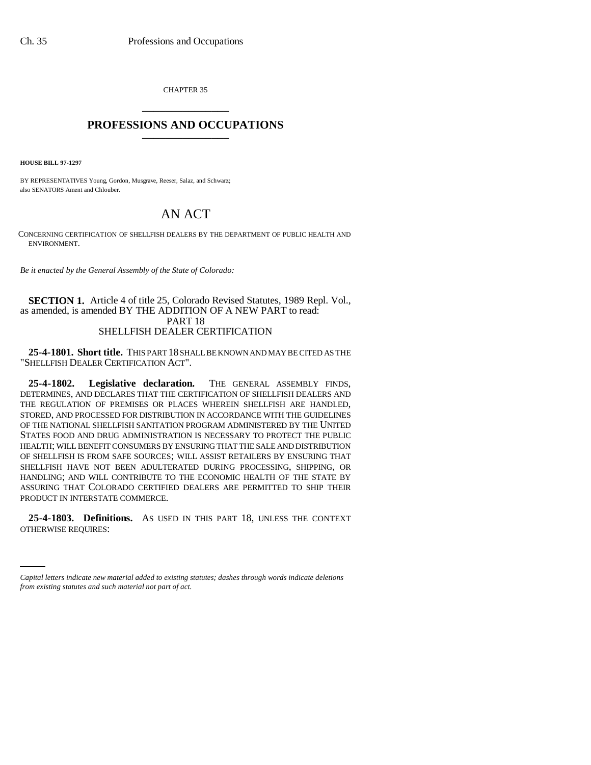CHAPTER 35 \_\_\_\_\_\_\_\_\_\_\_\_\_\_\_

## **PROFESSIONS AND OCCUPATIONS** \_\_\_\_\_\_\_\_\_\_\_\_\_\_\_

**HOUSE BILL 97-1297**

BY REPRESENTATIVES Young, Gordon, Musgrave, Reeser, Salaz, and Schwarz; also SENATORS Ament and Chlouber.

# AN ACT

CONCERNING CERTIFICATION OF SHELLFISH DEALERS BY THE DEPARTMENT OF PUBLIC HEALTH AND ENVIRONMENT.

*Be it enacted by the General Assembly of the State of Colorado:*

### **SECTION 1.** Article 4 of title 25, Colorado Revised Statutes, 1989 Repl. Vol., as amended, is amended BY THE ADDITION OF A NEW PART to read: PART 18 SHELLFISH DEALER CERTIFICATION

**25-4-1801. Short title.** THIS PART 18 SHALL BE KNOWN AND MAY BE CITED AS THE "SHELLFISH DEALER CERTIFICATION ACT".

**25-4-1802. Legislative declaration.** THE GENERAL ASSEMBLY FINDS, DETERMINES, AND DECLARES THAT THE CERTIFICATION OF SHELLFISH DEALERS AND THE REGULATION OF PREMISES OR PLACES WHEREIN SHELLFISH ARE HANDLED, STORED, AND PROCESSED FOR DISTRIBUTION IN ACCORDANCE WITH THE GUIDELINES OF THE NATIONAL SHELLFISH SANITATION PROGRAM ADMINISTERED BY THE UNITED STATES FOOD AND DRUG ADMINISTRATION IS NECESSARY TO PROTECT THE PUBLIC HEALTH; WILL BENEFIT CONSUMERS BY ENSURING THAT THE SALE AND DISTRIBUTION OF SHELLFISH IS FROM SAFE SOURCES; WILL ASSIST RETAILERS BY ENSURING THAT SHELLFISH HAVE NOT BEEN ADULTERATED DURING PROCESSING, SHIPPING, OR HANDLING; AND WILL CONTRIBUTE TO THE ECONOMIC HEALTH OF THE STATE BY ASSURING THAT COLORADO CERTIFIED DEALERS ARE PERMITTED TO SHIP THEIR PRODUCT IN INTERSTATE COMMERCE.

 **25-4-1803. Definitions.** AS USED IN THIS PART 18, UNLESS THE CONTEXT OTHERWISE REQUIRES:

*Capital letters indicate new material added to existing statutes; dashes through words indicate deletions from existing statutes and such material not part of act.*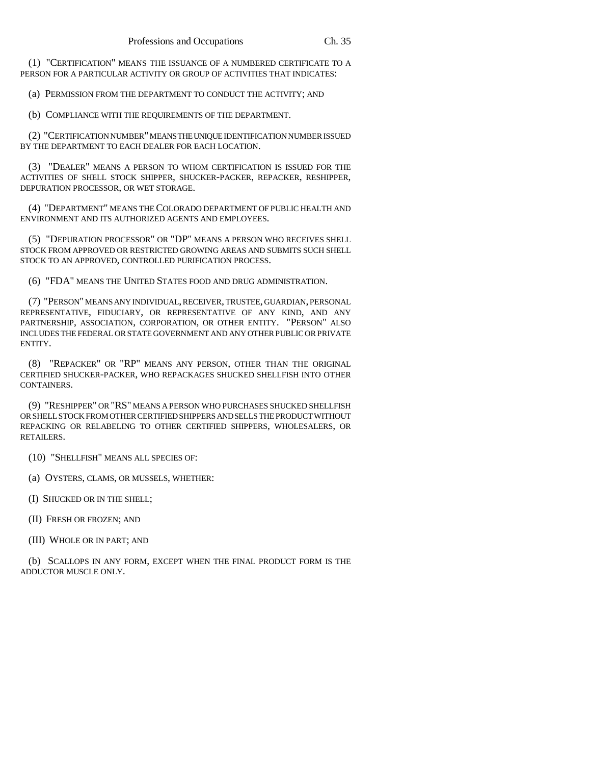(1) "CERTIFICATION" MEANS THE ISSUANCE OF A NUMBERED CERTIFICATE TO A PERSON FOR A PARTICULAR ACTIVITY OR GROUP OF ACTIVITIES THAT INDICATES:

(a) PERMISSION FROM THE DEPARTMENT TO CONDUCT THE ACTIVITY; AND

(b) COMPLIANCE WITH THE REQUIREMENTS OF THE DEPARTMENT.

(2) "CERTIFICATION NUMBER" MEANS THE UNIQUE IDENTIFICATION NUMBER ISSUED BY THE DEPARTMENT TO EACH DEALER FOR EACH LOCATION.

(3) "DEALER" MEANS A PERSON TO WHOM CERTIFICATION IS ISSUED FOR THE ACTIVITIES OF SHELL STOCK SHIPPER, SHUCKER-PACKER, REPACKER, RESHIPPER, DEPURATION PROCESSOR, OR WET STORAGE.

(4) "DEPARTMENT" MEANS THE COLORADO DEPARTMENT OF PUBLIC HEALTH AND ENVIRONMENT AND ITS AUTHORIZED AGENTS AND EMPLOYEES.

(5) "DEPURATION PROCESSOR" OR "DP" MEANS A PERSON WHO RECEIVES SHELL STOCK FROM APPROVED OR RESTRICTED GROWING AREAS AND SUBMITS SUCH SHELL STOCK TO AN APPROVED, CONTROLLED PURIFICATION PROCESS.

(6) "FDA" MEANS THE UNITED STATES FOOD AND DRUG ADMINISTRATION.

(7) "PERSON" MEANS ANY INDIVIDUAL, RECEIVER, TRUSTEE, GUARDIAN, PERSONAL REPRESENTATIVE, FIDUCIARY, OR REPRESENTATIVE OF ANY KIND, AND ANY PARTNERSHIP, ASSOCIATION, CORPORATION, OR OTHER ENTITY. "PERSON" ALSO INCLUDES THE FEDERAL OR STATE GOVERNMENT AND ANY OTHER PUBLIC OR PRIVATE ENTITY.

(8) "REPACKER" OR "RP" MEANS ANY PERSON, OTHER THAN THE ORIGINAL CERTIFIED SHUCKER-PACKER, WHO REPACKAGES SHUCKED SHELLFISH INTO OTHER CONTAINERS.

(9) "RESHIPPER" OR "RS" MEANS A PERSON WHO PURCHASES SHUCKED SHELLFISH OR SHELL STOCK FROM OTHER CERTIFIED SHIPPERS AND SELLS THE PRODUCT WITHOUT REPACKING OR RELABELING TO OTHER CERTIFIED SHIPPERS, WHOLESALERS, OR RETAILERS.

(10) "SHELLFISH" MEANS ALL SPECIES OF:

(a) OYSTERS, CLAMS, OR MUSSELS, WHETHER:

(I) SHUCKED OR IN THE SHELL;

(II) FRESH OR FROZEN; AND

(III) WHOLE OR IN PART; AND

(b) SCALLOPS IN ANY FORM, EXCEPT WHEN THE FINAL PRODUCT FORM IS THE ADDUCTOR MUSCLE ONLY.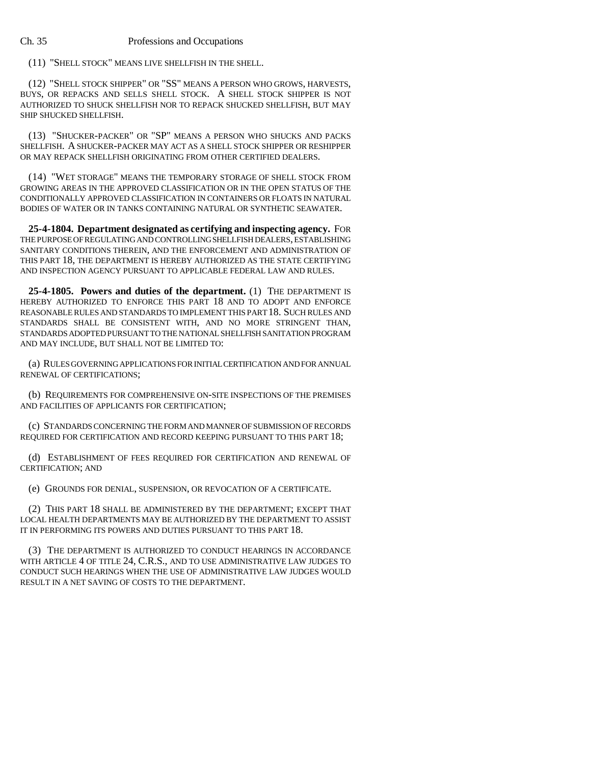#### Ch. 35 Professions and Occupations

(11) "SHELL STOCK" MEANS LIVE SHELLFISH IN THE SHELL.

(12) "SHELL STOCK SHIPPER" OR "SS" MEANS A PERSON WHO GROWS, HARVESTS, BUYS, OR REPACKS AND SELLS SHELL STOCK. A SHELL STOCK SHIPPER IS NOT AUTHORIZED TO SHUCK SHELLFISH NOR TO REPACK SHUCKED SHELLFISH, BUT MAY SHIP SHUCKED SHELLFISH.

(13) "SHUCKER-PACKER" OR "SP" MEANS A PERSON WHO SHUCKS AND PACKS SHELLFISH. A SHUCKER-PACKER MAY ACT AS A SHELL STOCK SHIPPER OR RESHIPPER OR MAY REPACK SHELLFISH ORIGINATING FROM OTHER CERTIFIED DEALERS.

(14) "WET STORAGE" MEANS THE TEMPORARY STORAGE OF SHELL STOCK FROM GROWING AREAS IN THE APPROVED CLASSIFICATION OR IN THE OPEN STATUS OF THE CONDITIONALLY APPROVED CLASSIFICATION IN CONTAINERS OR FLOATS IN NATURAL BODIES OF WATER OR IN TANKS CONTAINING NATURAL OR SYNTHETIC SEAWATER.

**25-4-1804. Department designated as certifying and inspecting agency.** FOR THE PURPOSE OF REGULATING AND CONTROLLING SHELLFISH DEALERS, ESTABLISHING SANITARY CONDITIONS THEREIN, AND THE ENFORCEMENT AND ADMINISTRATION OF THIS PART 18, THE DEPARTMENT IS HEREBY AUTHORIZED AS THE STATE CERTIFYING AND INSPECTION AGENCY PURSUANT TO APPLICABLE FEDERAL LAW AND RULES.

**25-4-1805. Powers and duties of the department.** (1) THE DEPARTMENT IS HEREBY AUTHORIZED TO ENFORCE THIS PART 18 AND TO ADOPT AND ENFORCE REASONABLE RULES AND STANDARDS TO IMPLEMENT THIS PART 18. SUCH RULES AND STANDARDS SHALL BE CONSISTENT WITH, AND NO MORE STRINGENT THAN, STANDARDS ADOPTED PURSUANT TO THE NATIONAL SHELLFISH SANITATION PROGRAM AND MAY INCLUDE, BUT SHALL NOT BE LIMITED TO:

(a) RULES GOVERNING APPLICATIONS FOR INITIAL CERTIFICATION AND FOR ANNUAL RENEWAL OF CERTIFICATIONS;

(b) REQUIREMENTS FOR COMPREHENSIVE ON-SITE INSPECTIONS OF THE PREMISES AND FACILITIES OF APPLICANTS FOR CERTIFICATION;

(c) STANDARDS CONCERNING THE FORM AND MANNER OF SUBMISSION OF RECORDS REQUIRED FOR CERTIFICATION AND RECORD KEEPING PURSUANT TO THIS PART 18;

(d) ESTABLISHMENT OF FEES REQUIRED FOR CERTIFICATION AND RENEWAL OF CERTIFICATION; AND

(e) GROUNDS FOR DENIAL, SUSPENSION, OR REVOCATION OF A CERTIFICATE.

(2) THIS PART 18 SHALL BE ADMINISTERED BY THE DEPARTMENT; EXCEPT THAT LOCAL HEALTH DEPARTMENTS MAY BE AUTHORIZED BY THE DEPARTMENT TO ASSIST IT IN PERFORMING ITS POWERS AND DUTIES PURSUANT TO THIS PART 18.

(3) THE DEPARTMENT IS AUTHORIZED TO CONDUCT HEARINGS IN ACCORDANCE WITH ARTICLE 4 OF TITLE 24, C.R.S., AND TO USE ADMINISTRATIVE LAW JUDGES TO CONDUCT SUCH HEARINGS WHEN THE USE OF ADMINISTRATIVE LAW JUDGES WOULD RESULT IN A NET SAVING OF COSTS TO THE DEPARTMENT.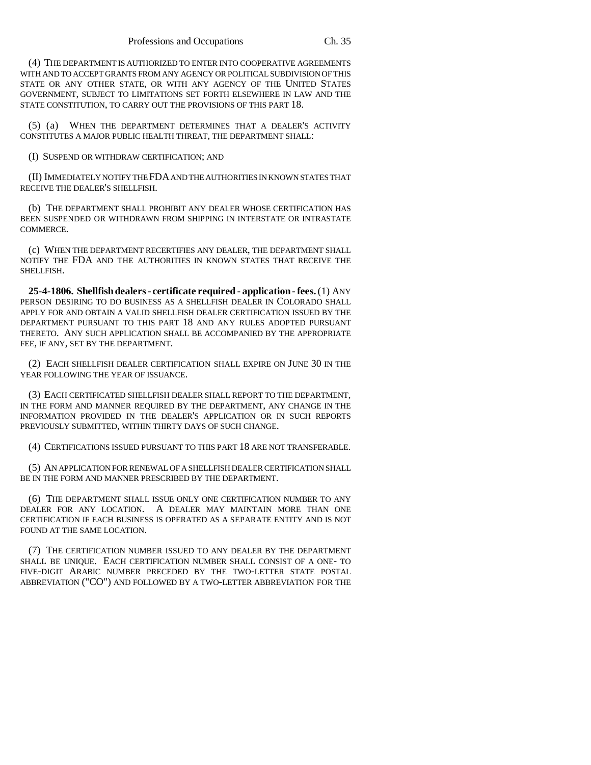(4) THE DEPARTMENT IS AUTHORIZED TO ENTER INTO COOPERATIVE AGREEMENTS WITH AND TO ACCEPT GRANTS FROM ANY AGENCY OR POLITICAL SUBDIVISION OF THIS STATE OR ANY OTHER STATE, OR WITH ANY AGENCY OF THE UNITED STATES GOVERNMENT, SUBJECT TO LIMITATIONS SET FORTH ELSEWHERE IN LAW AND THE STATE CONSTITUTION, TO CARRY OUT THE PROVISIONS OF THIS PART 18.

(5) (a) WHEN THE DEPARTMENT DETERMINES THAT A DEALER'S ACTIVITY CONSTITUTES A MAJOR PUBLIC HEALTH THREAT, THE DEPARTMENT SHALL:

(I) SUSPEND OR WITHDRAW CERTIFICATION; AND

(II) IMMEDIATELY NOTIFY THE FDA AND THE AUTHORITIES IN KNOWN STATES THAT RECEIVE THE DEALER'S SHELLFISH.

(b) THE DEPARTMENT SHALL PROHIBIT ANY DEALER WHOSE CERTIFICATION HAS BEEN SUSPENDED OR WITHDRAWN FROM SHIPPING IN INTERSTATE OR INTRASTATE COMMERCE.

(c) WHEN THE DEPARTMENT RECERTIFIES ANY DEALER, THE DEPARTMENT SHALL NOTIFY THE FDA AND THE AUTHORITIES IN KNOWN STATES THAT RECEIVE THE SHELLFISH.

**25-4-1806. Shellfish dealers - certificate required - application - fees.** (1) ANY PERSON DESIRING TO DO BUSINESS AS A SHELLFISH DEALER IN COLORADO SHALL APPLY FOR AND OBTAIN A VALID SHELLFISH DEALER CERTIFICATION ISSUED BY THE DEPARTMENT PURSUANT TO THIS PART 18 AND ANY RULES ADOPTED PURSUANT THERETO. ANY SUCH APPLICATION SHALL BE ACCOMPANIED BY THE APPROPRIATE FEE, IF ANY, SET BY THE DEPARTMENT.

(2) EACH SHELLFISH DEALER CERTIFICATION SHALL EXPIRE ON JUNE 30 IN THE YEAR FOLLOWING THE YEAR OF ISSUANCE.

(3) EACH CERTIFICATED SHELLFISH DEALER SHALL REPORT TO THE DEPARTMENT, IN THE FORM AND MANNER REQUIRED BY THE DEPARTMENT, ANY CHANGE IN THE INFORMATION PROVIDED IN THE DEALER'S APPLICATION OR IN SUCH REPORTS PREVIOUSLY SUBMITTED, WITHIN THIRTY DAYS OF SUCH CHANGE.

(4) CERTIFICATIONS ISSUED PURSUANT TO THIS PART 18 ARE NOT TRANSFERABLE.

(5) AN APPLICATION FOR RENEWAL OF A SHELLFISH DEALER CERTIFICATION SHALL BE IN THE FORM AND MANNER PRESCRIBED BY THE DEPARTMENT.

(6) THE DEPARTMENT SHALL ISSUE ONLY ONE CERTIFICATION NUMBER TO ANY DEALER FOR ANY LOCATION. A DEALER MAY MAINTAIN MORE THAN ONE CERTIFICATION IF EACH BUSINESS IS OPERATED AS A SEPARATE ENTITY AND IS NOT FOUND AT THE SAME LOCATION.

(7) THE CERTIFICATION NUMBER ISSUED TO ANY DEALER BY THE DEPARTMENT SHALL BE UNIQUE. EACH CERTIFICATION NUMBER SHALL CONSIST OF A ONE- TO FIVE-DIGIT ARABIC NUMBER PRECEDED BY THE TWO-LETTER STATE POSTAL ABBREVIATION ("CO") AND FOLLOWED BY A TWO-LETTER ABBREVIATION FOR THE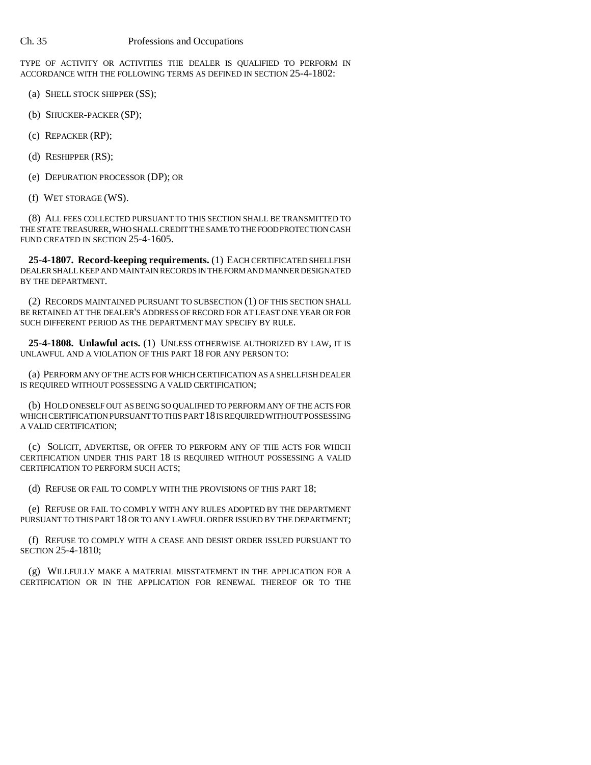#### Ch. 35 Professions and Occupations

TYPE OF ACTIVITY OR ACTIVITIES THE DEALER IS QUALIFIED TO PERFORM IN ACCORDANCE WITH THE FOLLOWING TERMS AS DEFINED IN SECTION 25-4-1802:

- (a) SHELL STOCK SHIPPER (SS);
- (b) SHUCKER-PACKER (SP);
- (c) REPACKER (RP);
- (d) RESHIPPER (RS);
- (e) DEPURATION PROCESSOR (DP); OR
- (f) WET STORAGE (WS).

(8) ALL FEES COLLECTED PURSUANT TO THIS SECTION SHALL BE TRANSMITTED TO THE STATE TREASURER, WHO SHALL CREDIT THE SAME TO THE FOOD PROTECTION CASH FUND CREATED IN SECTION 25-4-1605.

**25-4-1807. Record-keeping requirements.** (1) EACH CERTIFICATED SHELLFISH DEALER SHALL KEEP AND MAINTAIN RECORDS IN THE FORM AND MANNER DESIGNATED BY THE DEPARTMENT.

(2) RECORDS MAINTAINED PURSUANT TO SUBSECTION (1) OF THIS SECTION SHALL BE RETAINED AT THE DEALER'S ADDRESS OF RECORD FOR AT LEAST ONE YEAR OR FOR SUCH DIFFERENT PERIOD AS THE DEPARTMENT MAY SPECIFY BY RULE.

**25-4-1808. Unlawful acts.** (1) UNLESS OTHERWISE AUTHORIZED BY LAW, IT IS UNLAWFUL AND A VIOLATION OF THIS PART 18 FOR ANY PERSON TO:

(a) PERFORM ANY OF THE ACTS FOR WHICH CERTIFICATION AS A SHELLFISH DEALER IS REQUIRED WITHOUT POSSESSING A VALID CERTIFICATION;

(b) HOLD ONESELF OUT AS BEING SO QUALIFIED TO PERFORM ANY OF THE ACTS FOR WHICH CERTIFICATION PURSUANT TO THIS PART 18 IS REQUIRED WITHOUT POSSESSING A VALID CERTIFICATION;

(c) SOLICIT, ADVERTISE, OR OFFER TO PERFORM ANY OF THE ACTS FOR WHICH CERTIFICATION UNDER THIS PART 18 IS REQUIRED WITHOUT POSSESSING A VALID CERTIFICATION TO PERFORM SUCH ACTS;

(d) REFUSE OR FAIL TO COMPLY WITH THE PROVISIONS OF THIS PART 18;

(e) REFUSE OR FAIL TO COMPLY WITH ANY RULES ADOPTED BY THE DEPARTMENT PURSUANT TO THIS PART 18 OR TO ANY LAWFUL ORDER ISSUED BY THE DEPARTMENT;

(f) REFUSE TO COMPLY WITH A CEASE AND DESIST ORDER ISSUED PURSUANT TO SECTION 25-4-1810;

(g) WILLFULLY MAKE A MATERIAL MISSTATEMENT IN THE APPLICATION FOR A CERTIFICATION OR IN THE APPLICATION FOR RENEWAL THEREOF OR TO THE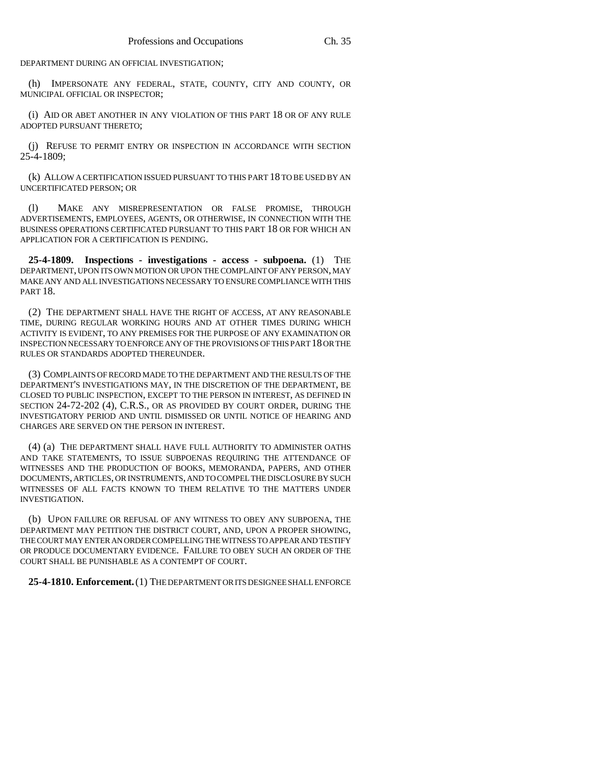DEPARTMENT DURING AN OFFICIAL INVESTIGATION;

(h) IMPERSONATE ANY FEDERAL, STATE, COUNTY, CITY AND COUNTY, OR MUNICIPAL OFFICIAL OR INSPECTOR;

(i) AID OR ABET ANOTHER IN ANY VIOLATION OF THIS PART 18 OR OF ANY RULE ADOPTED PURSUANT THERETO;

(j) REFUSE TO PERMIT ENTRY OR INSPECTION IN ACCORDANCE WITH SECTION  $25 - 4 - 1809$ ;

(k) ALLOW A CERTIFICATION ISSUED PURSUANT TO THIS PART 18 TO BE USED BY AN UNCERTIFICATED PERSON; OR

(l) MAKE ANY MISREPRESENTATION OR FALSE PROMISE, THROUGH ADVERTISEMENTS, EMPLOYEES, AGENTS, OR OTHERWISE, IN CONNECTION WITH THE BUSINESS OPERATIONS CERTIFICATED PURSUANT TO THIS PART 18 OR FOR WHICH AN APPLICATION FOR A CERTIFICATION IS PENDING.

**25-4-1809. Inspections - investigations - access - subpoena.** (1) THE DEPARTMENT, UPON ITS OWN MOTION OR UPON THE COMPLAINT OF ANY PERSON, MAY MAKE ANY AND ALL INVESTIGATIONS NECESSARY TO ENSURE COMPLIANCE WITH THIS PART 18.

(2) THE DEPARTMENT SHALL HAVE THE RIGHT OF ACCESS, AT ANY REASONABLE TIME, DURING REGULAR WORKING HOURS AND AT OTHER TIMES DURING WHICH ACTIVITY IS EVIDENT, TO ANY PREMISES FOR THE PURPOSE OF ANY EXAMINATION OR INSPECTION NECESSARY TO ENFORCE ANY OF THE PROVISIONS OF THIS PART 18 OR THE RULES OR STANDARDS ADOPTED THEREUNDER.

(3) COMPLAINTS OF RECORD MADE TO THE DEPARTMENT AND THE RESULTS OF THE DEPARTMENT'S INVESTIGATIONS MAY, IN THE DISCRETION OF THE DEPARTMENT, BE CLOSED TO PUBLIC INSPECTION, EXCEPT TO THE PERSON IN INTEREST, AS DEFINED IN SECTION 24-72-202 (4), C.R.S., OR AS PROVIDED BY COURT ORDER, DURING THE INVESTIGATORY PERIOD AND UNTIL DISMISSED OR UNTIL NOTICE OF HEARING AND CHARGES ARE SERVED ON THE PERSON IN INTEREST.

(4) (a) THE DEPARTMENT SHALL HAVE FULL AUTHORITY TO ADMINISTER OATHS AND TAKE STATEMENTS, TO ISSUE SUBPOENAS REQUIRING THE ATTENDANCE OF WITNESSES AND THE PRODUCTION OF BOOKS, MEMORANDA, PAPERS, AND OTHER DOCUMENTS, ARTICLES, OR INSTRUMENTS, AND TO COMPEL THE DISCLOSURE BY SUCH WITNESSES OF ALL FACTS KNOWN TO THEM RELATIVE TO THE MATTERS UNDER INVESTIGATION.

(b) UPON FAILURE OR REFUSAL OF ANY WITNESS TO OBEY ANY SUBPOENA, THE DEPARTMENT MAY PETITION THE DISTRICT COURT, AND, UPON A PROPER SHOWING, THE COURT MAY ENTER AN ORDER COMPELLING THE WITNESS TO APPEAR AND TESTIFY OR PRODUCE DOCUMENTARY EVIDENCE. FAILURE TO OBEY SUCH AN ORDER OF THE COURT SHALL BE PUNISHABLE AS A CONTEMPT OF COURT.

**25-4-1810. Enforcement.** (1) THE DEPARTMENT OR ITS DESIGNEE SHALL ENFORCE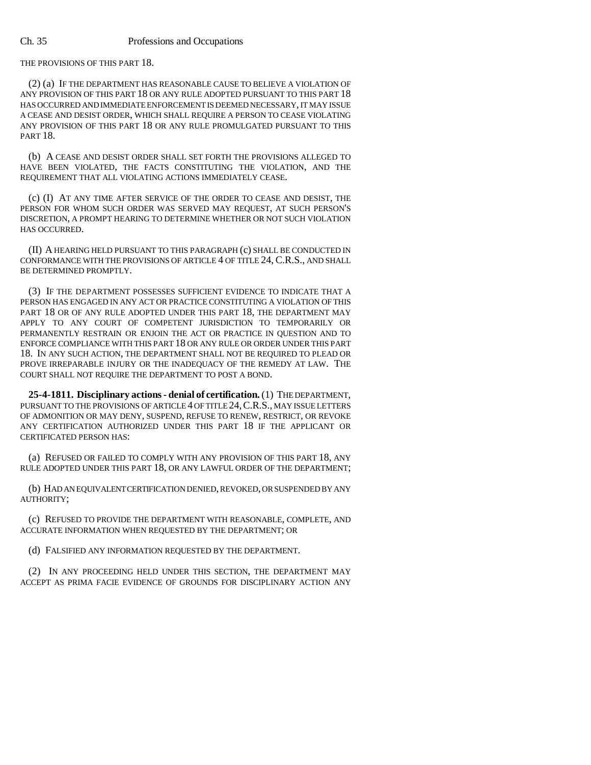#### Ch. 35 Professions and Occupations

THE PROVISIONS OF THIS PART 18.

(2) (a) IF THE DEPARTMENT HAS REASONABLE CAUSE TO BELIEVE A VIOLATION OF ANY PROVISION OF THIS PART 18 OR ANY RULE ADOPTED PURSUANT TO THIS PART 18 HAS OCCURRED AND IMMEDIATE ENFORCEMENT IS DEEMED NECESSARY, IT MAY ISSUE A CEASE AND DESIST ORDER, WHICH SHALL REQUIRE A PERSON TO CEASE VIOLATING ANY PROVISION OF THIS PART 18 OR ANY RULE PROMULGATED PURSUANT TO THIS PART 18.

(b) A CEASE AND DESIST ORDER SHALL SET FORTH THE PROVISIONS ALLEGED TO HAVE BEEN VIOLATED, THE FACTS CONSTITUTING THE VIOLATION, AND THE REQUIREMENT THAT ALL VIOLATING ACTIONS IMMEDIATELY CEASE.

(c) (I) AT ANY TIME AFTER SERVICE OF THE ORDER TO CEASE AND DESIST, THE PERSON FOR WHOM SUCH ORDER WAS SERVED MAY REQUEST, AT SUCH PERSON'S DISCRETION, A PROMPT HEARING TO DETERMINE WHETHER OR NOT SUCH VIOLATION HAS OCCURRED.

(II) A HEARING HELD PURSUANT TO THIS PARAGRAPH (c) SHALL BE CONDUCTED IN CONFORMANCE WITH THE PROVISIONS OF ARTICLE 4 OF TITLE 24, C.R.S., AND SHALL BE DETERMINED PROMPTLY.

(3) IF THE DEPARTMENT POSSESSES SUFFICIENT EVIDENCE TO INDICATE THAT A PERSON HAS ENGAGED IN ANY ACT OR PRACTICE CONSTITUTING A VIOLATION OF THIS PART 18 OR OF ANY RULE ADOPTED UNDER THIS PART 18, THE DEPARTMENT MAY APPLY TO ANY COURT OF COMPETENT JURISDICTION TO TEMPORARILY OR PERMANENTLY RESTRAIN OR ENJOIN THE ACT OR PRACTICE IN QUESTION AND TO ENFORCE COMPLIANCE WITH THIS PART 18 OR ANY RULE OR ORDER UNDER THIS PART 18. IN ANY SUCH ACTION, THE DEPARTMENT SHALL NOT BE REQUIRED TO PLEAD OR PROVE IRREPARABLE INJURY OR THE INADEQUACY OF THE REMEDY AT LAW. THE COURT SHALL NOT REQUIRE THE DEPARTMENT TO POST A BOND.

**25-4-1811. Disciplinary actions - denial of certification.** (1) THE DEPARTMENT, PURSUANT TO THE PROVISIONS OF ARTICLE 4 OF TITLE 24,C.R.S., MAY ISSUE LETTERS OF ADMONITION OR MAY DENY, SUSPEND, REFUSE TO RENEW, RESTRICT, OR REVOKE ANY CERTIFICATION AUTHORIZED UNDER THIS PART 18 IF THE APPLICANT OR CERTIFICATED PERSON HAS:

(a) REFUSED OR FAILED TO COMPLY WITH ANY PROVISION OF THIS PART 18, ANY RULE ADOPTED UNDER THIS PART 18, OR ANY LAWFUL ORDER OF THE DEPARTMENT;

(b) HAD AN EQUIVALENT CERTIFICATION DENIED, REVOKED, OR SUSPENDED BY ANY AUTHORITY;

(c) REFUSED TO PROVIDE THE DEPARTMENT WITH REASONABLE, COMPLETE, AND ACCURATE INFORMATION WHEN REQUESTED BY THE DEPARTMENT; OR

(d) FALSIFIED ANY INFORMATION REQUESTED BY THE DEPARTMENT.

(2) IN ANY PROCEEDING HELD UNDER THIS SECTION, THE DEPARTMENT MAY ACCEPT AS PRIMA FACIE EVIDENCE OF GROUNDS FOR DISCIPLINARY ACTION ANY